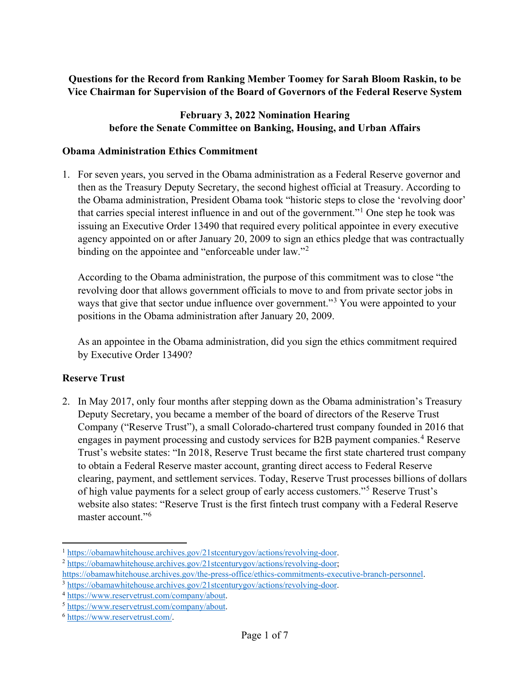## **Questions for the Record from Ranking Member Toomey for Sarah Bloom Raskin, to be Vice Chairman for Supervision of the Board of Governors of the Federal Reserve System**

### **February 3, 2022 Nomination Hearing before the Senate Committee on Banking, Housing, and Urban Affairs**

#### **Obama Administration Ethics Commitment**

1. For seven years, you served in the Obama administration as a Federal Reserve governor and then as the Treasury Deputy Secretary, the second highest official at Treasury. According to the Obama administration, President Obama took "historic steps to close the 'revolving door' that carries special interest influence in and out of the government."[1](#page-0-0) One step he took was issuing an Executive Order 13490 that required every political appointee in every executive agency appointed on or after January 20, 2009 to sign an ethics pledge that was contractually binding on the appointee and "enforceable under law."<sup>[2](#page-0-1)</sup>

According to the Obama administration, the purpose of this commitment was to close "the revolving door that allows government officials to move to and from private sector jobs in ways that give that sector undue influence over government."<sup>[3](#page-0-2)</sup> You were appointed to your positions in the Obama administration after January 20, 2009.

As an appointee in the Obama administration, did you sign the ethics commitment required by Executive Order 13490?

## **Reserve Trust**

2. In May 2017, only four months after stepping down as the Obama administration's Treasury Deputy Secretary, you became a member of the board of directors of the Reserve Trust Company ("Reserve Trust"), a small Colorado-chartered trust company founded in 2016 that engages in payment processing and custody services for B2B payment companies.<sup>[4](#page-0-3)</sup> Reserve Trust's website states: "In 2018, Reserve Trust became the first state chartered trust company to obtain a Federal Reserve master account, granting direct access to Federal Reserve clearing, payment, and settlement services. Today, Reserve Trust processes billions of dollars of high value payments for a select group of early access customers."[5](#page-0-4) Reserve Trust's website also states: "Reserve Trust is the first fintech trust company with a Federal Reserve master account."[6](#page-0-5)

<span id="page-0-0"></span><sup>&</sup>lt;sup>1</sup> https://obamawhitehouse.archives.gov/21stcenturygov/actions/revolving-door.

<span id="page-0-1"></span><sup>&</sup>lt;sup>2</sup> [https://obamawhitehouse.archives.gov/21stcenturygov/actions/revolving-door;](https://obamawhitehouse.archives.gov/21stcenturygov/actions/revolving-door)

[https://obamawhitehouse.archives.gov/the-press-office/ethics-commitments-executive-branch-personnel.](https://obamawhitehouse.archives.gov/the-press-office/ethics-commitments-executive-branch-personnel)<br>
3 https://obamawhitehouse.archives.gov/21stcenturygov/actions/revolving-door.<br>
4 https://www.reservetrust.com/company/ab

<span id="page-0-2"></span>

<span id="page-0-3"></span>

<span id="page-0-4"></span>

<span id="page-0-5"></span>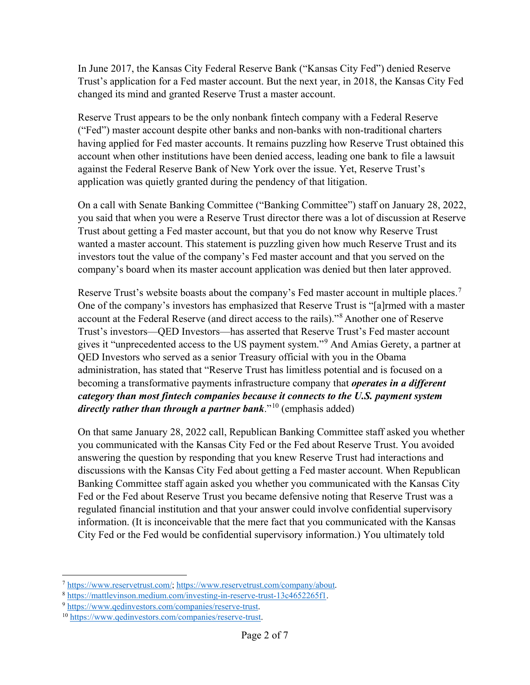In June 2017, the Kansas City Federal Reserve Bank ("Kansas City Fed") denied Reserve Trust's application for a Fed master account. But the next year, in 2018, the Kansas City Fed changed its mind and granted Reserve Trust a master account.

Reserve Trust appears to be the only nonbank fintech company with a Federal Reserve ("Fed") master account despite other banks and non-banks with non-traditional charters having applied for Fed master accounts. It remains puzzling how Reserve Trust obtained this account when other institutions have been denied access, leading one bank to file a lawsuit against the Federal Reserve Bank of New York over the issue. Yet, Reserve Trust's application was quietly granted during the pendency of that litigation.

On a call with Senate Banking Committee ("Banking Committee") staff on January 28, 2022, you said that when you were a Reserve Trust director there was a lot of discussion at Reserve Trust about getting a Fed master account, but that you do not know why Reserve Trust wanted a master account. This statement is puzzling given how much Reserve Trust and its investors tout the value of the company's Fed master account and that you served on the company's board when its master account application was denied but then later approved.

Reserve Trust's website boasts about the company's Fed master account in multiple places.<sup>[7](#page-1-0)</sup> One of the company's investors has emphasized that Reserve Trust is "[a]rmed with a master account at the Federal Reserve (and direct access to the rails)."[8](#page-1-1) Another one of Reserve Trust's investors—QED Investors—has asserted that Reserve Trust's Fed master account gives it "unprecedented access to the US payment system."[9](#page-1-2) And Amias Gerety, a partner at QED Investors who served as a senior Treasury official with you in the Obama administration, has stated that "Reserve Trust has limitless potential and is focused on a becoming a transformative payments infrastructure company that *operates in a different category than most fintech companies because it connects to the U.S. payment system directly rather than through a partner bank*."[10](#page-1-3) (emphasis added)

On that same January 28, 2022 call, Republican Banking Committee staff asked you whether you communicated with the Kansas City Fed or the Fed about Reserve Trust. You avoided answering the question by responding that you knew Reserve Trust had interactions and discussions with the Kansas City Fed about getting a Fed master account. When Republican Banking Committee staff again asked you whether you communicated with the Kansas City Fed or the Fed about Reserve Trust you became defensive noting that Reserve Trust was a regulated financial institution and that your answer could involve confidential supervisory information. (It is inconceivable that the mere fact that you communicated with the Kansas City Fed or the Fed would be confidential supervisory information.) You ultimately told

 $\overline{\phantom{a}}$ 

<span id="page-1-0"></span><sup>7</sup> [https://www.reservetrust.com/;](https://www.reservetrust.com/) [https://www.reservetrust.com/company/about.](https://www.reservetrust.com/company/about)

<span id="page-1-1"></span><sup>8</sup> [https://mattlevinson.medium.com/investing-in-reserve-trust-13c4652265f1.](https://mattlevinson.medium.com/investing-in-reserve-trust-13c4652265f1)<br>9 [https://www.qedinvestors.com/companies/reserve-trust.](https://www.qedinvestors.com/companies/reserve-trust)<br><sup>10</sup> https://www.qedinvestors.com/companies/reserve-trust.

<span id="page-1-2"></span>

<span id="page-1-3"></span>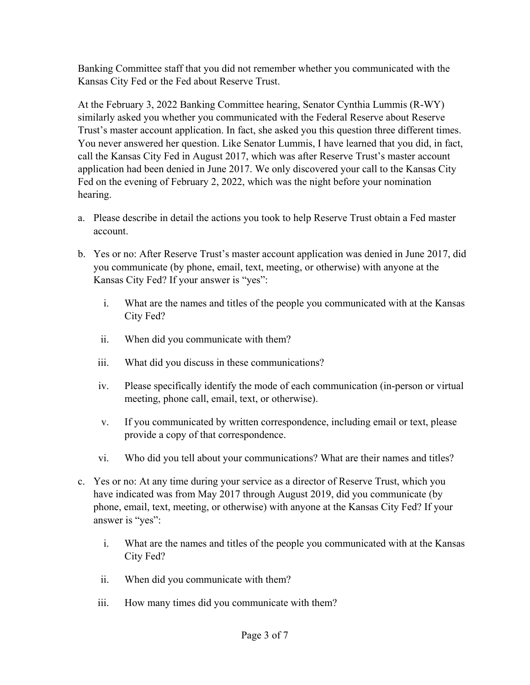Banking Committee staff that you did not remember whether you communicated with the Kansas City Fed or the Fed about Reserve Trust.

At the February 3, 2022 Banking Committee hearing, Senator Cynthia Lummis (R-WY) similarly asked you whether you communicated with the Federal Reserve about Reserve Trust's master account application. In fact, she asked you this question three different times. You never answered her question. Like Senator Lummis, I have learned that you did, in fact, call the Kansas City Fed in August 2017, which was after Reserve Trust's master account application had been denied in June 2017. We only discovered your call to the Kansas City Fed on the evening of February 2, 2022, which was the night before your nomination hearing.

- a. Please describe in detail the actions you took to help Reserve Trust obtain a Fed master account.
- b. Yes or no: After Reserve Trust's master account application was denied in June 2017, did you communicate (by phone, email, text, meeting, or otherwise) with anyone at the Kansas City Fed? If your answer is "yes":
	- i. What are the names and titles of the people you communicated with at the Kansas City Fed?
	- ii. When did you communicate with them?
	- iii. What did you discuss in these communications?
	- iv. Please specifically identify the mode of each communication (in-person or virtual meeting, phone call, email, text, or otherwise).
	- v. If you communicated by written correspondence, including email or text, please provide a copy of that correspondence.
	- vi. Who did you tell about your communications? What are their names and titles?
- c. Yes or no: At any time during your service as a director of Reserve Trust, which you have indicated was from May 2017 through August 2019, did you communicate (by phone, email, text, meeting, or otherwise) with anyone at the Kansas City Fed? If your answer is "yes":
	- i. What are the names and titles of the people you communicated with at the Kansas City Fed?
	- ii. When did you communicate with them?
	- iii. How many times did you communicate with them?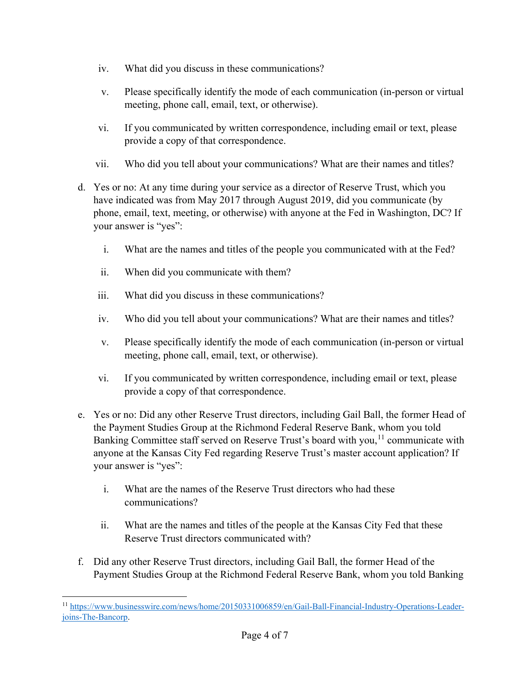- iv. What did you discuss in these communications?
- v. Please specifically identify the mode of each communication (in-person or virtual meeting, phone call, email, text, or otherwise).
- vi. If you communicated by written correspondence, including email or text, please provide a copy of that correspondence.
- vii. Who did you tell about your communications? What are their names and titles?
- d. Yes or no: At any time during your service as a director of Reserve Trust, which you have indicated was from May 2017 through August 2019, did you communicate (by phone, email, text, meeting, or otherwise) with anyone at the Fed in Washington, DC? If your answer is "yes":
	- i. What are the names and titles of the people you communicated with at the Fed?
	- ii. When did you communicate with them?
	- iii. What did you discuss in these communications?
	- iv. Who did you tell about your communications? What are their names and titles?
	- v. Please specifically identify the mode of each communication (in-person or virtual meeting, phone call, email, text, or otherwise).
	- vi. If you communicated by written correspondence, including email or text, please provide a copy of that correspondence.
- e. Yes or no: Did any other Reserve Trust directors, including Gail Ball, the former Head of the Payment Studies Group at the Richmond Federal Reserve Bank, whom you told Banking Committee staff served on Reserve Trust's board with you,<sup>[11](#page-3-0)</sup> communicate with anyone at the Kansas City Fed regarding Reserve Trust's master account application? If your answer is "yes":
	- i. What are the names of the Reserve Trust directors who had these communications?
	- ii. What are the names and titles of the people at the Kansas City Fed that these Reserve Trust directors communicated with?
- f. Did any other Reserve Trust directors, including Gail Ball, the former Head of the Payment Studies Group at the Richmond Federal Reserve Bank, whom you told Banking

<span id="page-3-0"></span> $\overline{a}$ <sup>11</sup> [https://www.businesswire.com/news/home/20150331006859/en/Gail-Ball-Financial-Industry-Operations-Leader](https://www.businesswire.com/news/home/20150331006859/en/Gail-Ball-Financial-Industry-Operations-Leader-joins-The-Bancorp)[joins-The-Bancorp.](https://www.businesswire.com/news/home/20150331006859/en/Gail-Ball-Financial-Industry-Operations-Leader-joins-The-Bancorp)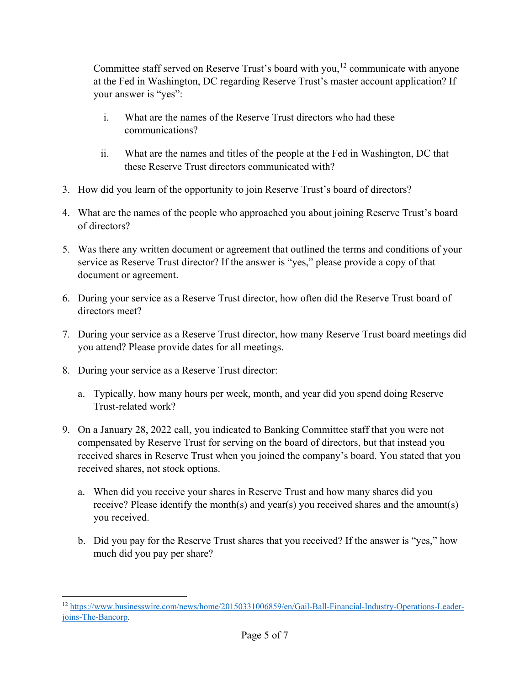Committee staff served on Reserve Trust's board with you,<sup>[12](#page-4-0)</sup> communicate with anyone at the Fed in Washington, DC regarding Reserve Trust's master account application? If your answer is "yes":

- i. What are the names of the Reserve Trust directors who had these communications?
- ii. What are the names and titles of the people at the Fed in Washington, DC that these Reserve Trust directors communicated with?
- 3. How did you learn of the opportunity to join Reserve Trust's board of directors?
- 4. What are the names of the people who approached you about joining Reserve Trust's board of directors?
- 5. Was there any written document or agreement that outlined the terms and conditions of your service as Reserve Trust director? If the answer is "yes," please provide a copy of that document or agreement.
- 6. During your service as a Reserve Trust director, how often did the Reserve Trust board of directors meet?
- 7. During your service as a Reserve Trust director, how many Reserve Trust board meetings did you attend? Please provide dates for all meetings.
- 8. During your service as a Reserve Trust director:
	- a. Typically, how many hours per week, month, and year did you spend doing Reserve Trust-related work?
- 9. On a January 28, 2022 call, you indicated to Banking Committee staff that you were not compensated by Reserve Trust for serving on the board of directors, but that instead you received shares in Reserve Trust when you joined the company's board. You stated that you received shares, not stock options.
	- a. When did you receive your shares in Reserve Trust and how many shares did you receive? Please identify the month(s) and year(s) you received shares and the amount(s) you received.
	- b. Did you pay for the Reserve Trust shares that you received? If the answer is "yes," how much did you pay per share?

<span id="page-4-0"></span> $\overline{a}$ <sup>12</sup> [https://www.businesswire.com/news/home/20150331006859/en/Gail-Ball-Financial-Industry-Operations-Leader](https://www.businesswire.com/news/home/20150331006859/en/Gail-Ball-Financial-Industry-Operations-Leader-joins-The-Bancorp)[joins-The-Bancorp.](https://www.businesswire.com/news/home/20150331006859/en/Gail-Ball-Financial-Industry-Operations-Leader-joins-The-Bancorp)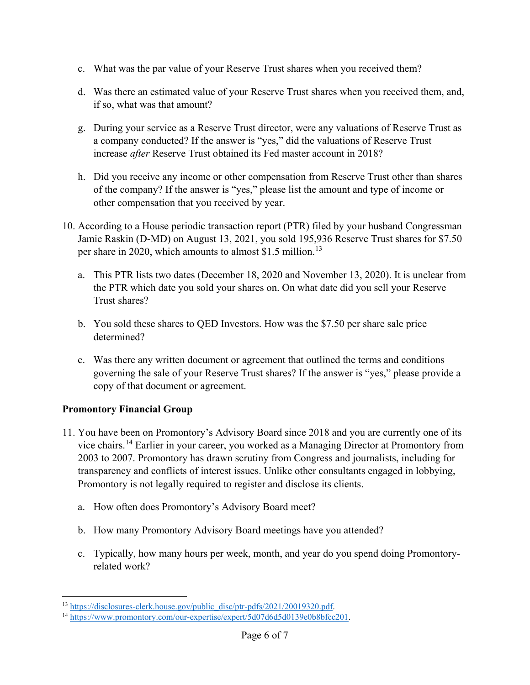- c. What was the par value of your Reserve Trust shares when you received them?
- d. Was there an estimated value of your Reserve Trust shares when you received them, and, if so, what was that amount?
- g. During your service as a Reserve Trust director, were any valuations of Reserve Trust as a company conducted? If the answer is "yes," did the valuations of Reserve Trust increase *after* Reserve Trust obtained its Fed master account in 2018?
- h. Did you receive any income or other compensation from Reserve Trust other than shares of the company? If the answer is "yes," please list the amount and type of income or other compensation that you received by year.
- 10. According to a House periodic transaction report (PTR) filed by your husband Congressman Jamie Raskin (D-MD) on August 13, 2021, you sold 195,936 Reserve Trust shares for \$7.50 per share in 2020, which amounts to almost \$1.5 million.<sup>[13](#page-5-0)</sup>
	- a. This PTR lists two dates (December 18, 2020 and November 13, 2020). It is unclear from the PTR which date you sold your shares on. On what date did you sell your Reserve Trust shares?
	- b. You sold these shares to QED Investors. How was the \$7.50 per share sale price determined?
	- c. Was there any written document or agreement that outlined the terms and conditions governing the sale of your Reserve Trust shares? If the answer is "yes," please provide a copy of that document or agreement.

# **Promontory Financial Group**

 $\overline{a}$ 

- 11. You have been on Promontory's Advisory Board since 2018 and you are currently one of its vice chairs. [14](#page-5-1) Earlier in your career, you worked as a Managing Director at Promontory from 2003 to 2007. Promontory has drawn scrutiny from Congress and journalists, including for transparency and conflicts of interest issues. Unlike other consultants engaged in lobbying, Promontory is not legally required to register and disclose its clients.
	- a. How often does Promontory's Advisory Board meet?
	- b. How many Promontory Advisory Board meetings have you attended?
	- c. Typically, how many hours per week, month, and year do you spend doing Promontoryrelated work?

<span id="page-5-0"></span><sup>&</sup>lt;sup>13</sup> [https://disclosures-clerk.house.gov/public\\_disc/ptr-pdfs/2021/20019320.pdf.](https://disclosures-clerk.house.gov/public_disc/ptr-pdfs/2021/20019320.pdf)

<span id="page-5-1"></span><sup>14</sup> [https://www.promontory.com/our-expertise/expert/5d07d6d5d0139e0b8bfcc201.](https://www.promontory.com/our-expertise/expert/5d07d6d5d0139e0b8bfcc201)